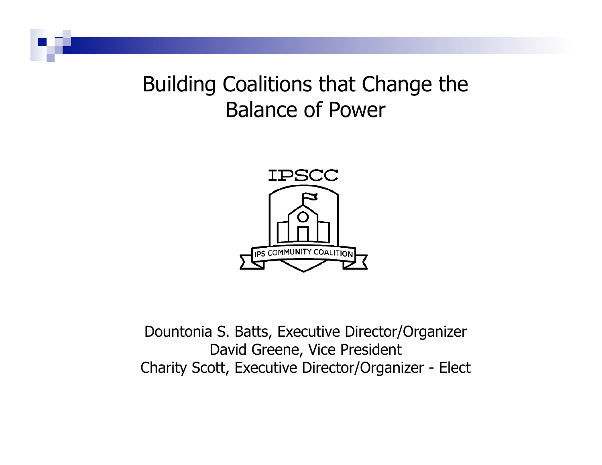Building Coalitions that Change the Balance of Power



Dountonia S. Batts, Executive Director/Organizer David Greene, Vice President Charity Scott, Executive Director/Organizer - Elect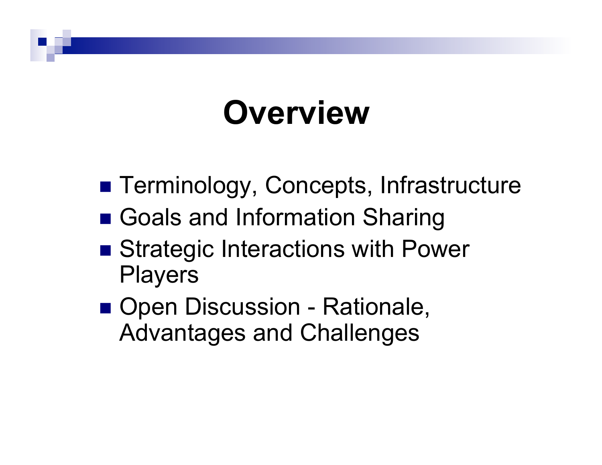# **Overview**

- **Example Terminology, Concepts, Infrastructure**
- Goals and Information Sharing
- Strategic Interactions with Power Players
- **DEDITION OPEN DISCUSSION Rationale,** Advantages and Challenges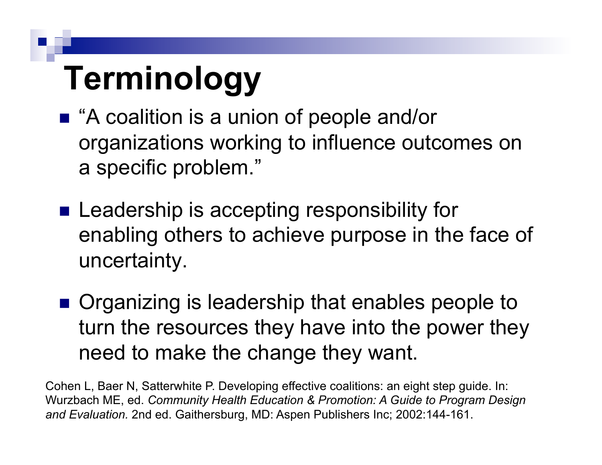# **Terminology**

- "A coalition is a union of people and/or organizations working to influence outcomes on a specific problem."
- **Example 20 Leadership is accepting responsibility for** enabling others to achieve purpose in the face of uncertainty.
- **. Organizing is leadership that enables people to** turn the resources they have into the power they need to make the change they want.

Cohen L, Baer N, Satterwhite P. Developing effective coalitions: an eight step guide. In: Wurzbach ME, ed. *Community Health Education & Promotion: A Guide to Program Design and Evaluation.* 2nd ed. Gaithersburg, MD: Aspen Publishers Inc; 2002:144-161.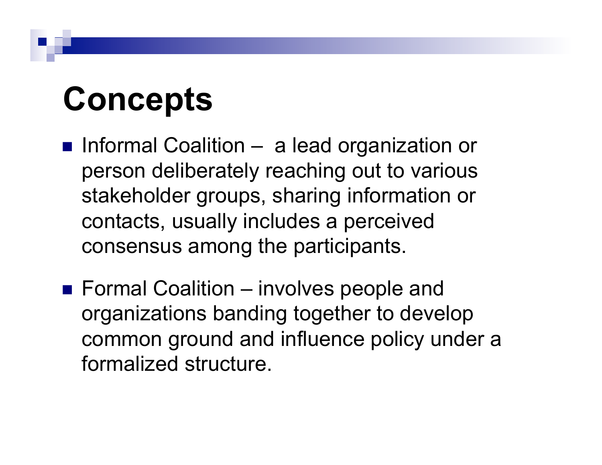# **Concepts**

- **Informal Coalition a lead organization or** person deliberately reaching out to various stakeholder groups, sharing information or contacts, usually includes a perceived consensus among the participants.
- Formal Coalition involves people and organizations banding together to develop common ground and influence policy under a formalized structure.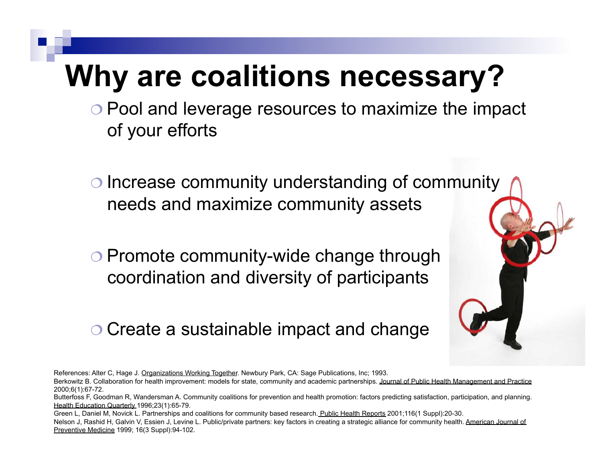#### **Why are coalitions necessary?**

- $\circ$  Pool and leverage resources to maximize the impact of your efforts
- $\circ$  Increase community understanding of community needs and maximize community assets
- **O Promote community-wide change through** coordination and diversity of participants
- O Create a sustainable impact and change

References: Alter C, Hage J. Organizations Working Together. Newbury Park, CA: Sage Publications, Inc; 1993.

Berkowitz B. Collaboration for health improvement: models for state, community and academic partnerships. Journal of Public Health Management and Practice 2000;6(1):67-72.

Butterfoss F, Goodman R, Wandersman A. Community coalitions for prevention and health promotion: factors predicting satisfaction, participation, and planning. Health Education Quarterly 1996;23(1):65-79.

Green L, Daniel M, Novick L. Partnerships and coalitions for community based research. Public Health Reports 2001;116(1 Suppl):20-30. Nelson J, Rashid H, Galvin V, Essien J, Levine L. Public/private partners: key factors in creating a strategic alliance for community health. American Journal of Preventive Medicine 1999; 16(3 Suppl):94-102.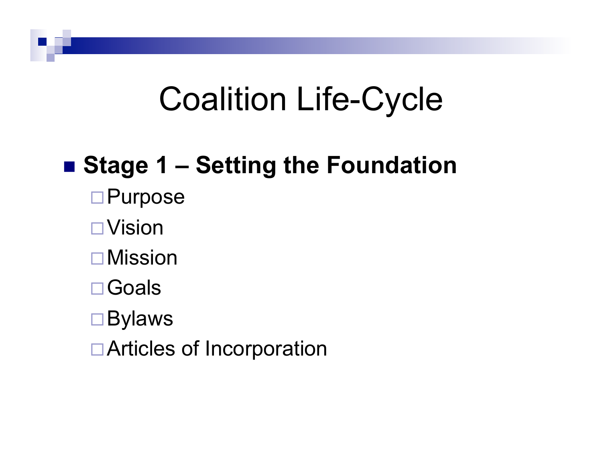#### ■ Stage 1 – Setting the Foundation

- □ Purpose
- $\Box$ Vision
- $\Box$  Mission
- □ Goals
- $\square$  Bylaws
- $\Box$  Articles of Incorporation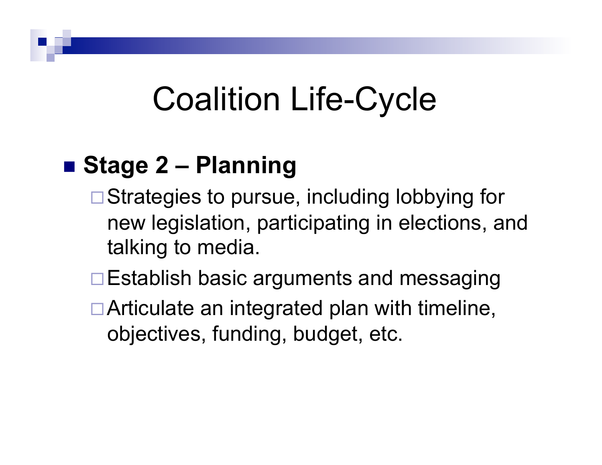#### ■ Stage 2 – Planning

- $\Box$  Strategies to pursue, including lobbying for new legislation, participating in elections, and talking to media.
- $\Box$  Establish basic arguments and messaging
- $\Box$  Articulate an integrated plan with timeline, objectives, funding, budget, etc.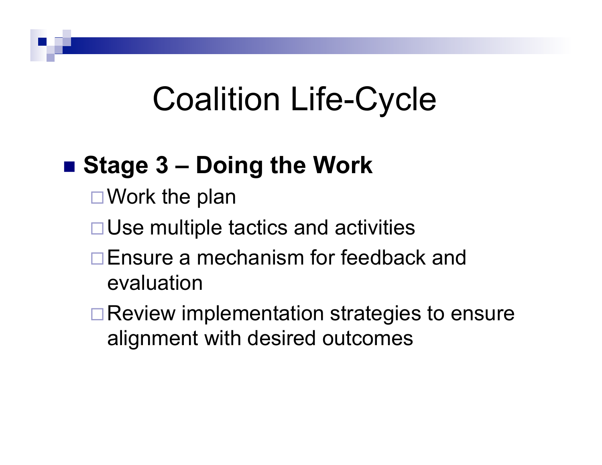#### ■ Stage 3 – Doing the Work

- $\Box$  Work the plan
- $\Box$  Use multiple tactics and activities
- $\Box$  Ensure a mechanism for feedback and evaluation
- $\Box$  Review implementation strategies to ensure alignment with desired outcomes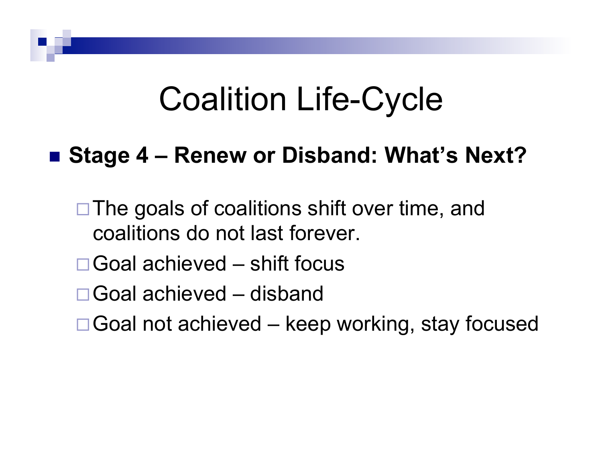#### ■ Stage 4 – Renew or Disband: What's Next?

- $\Box$  The goals of coalitions shift over time, and coalitions do not last forever.
- $\Box$  Goal achieved shift focus
- $\Box$  Goal achieved disband
- $\Box$  Goal not achieved keep working, stay focused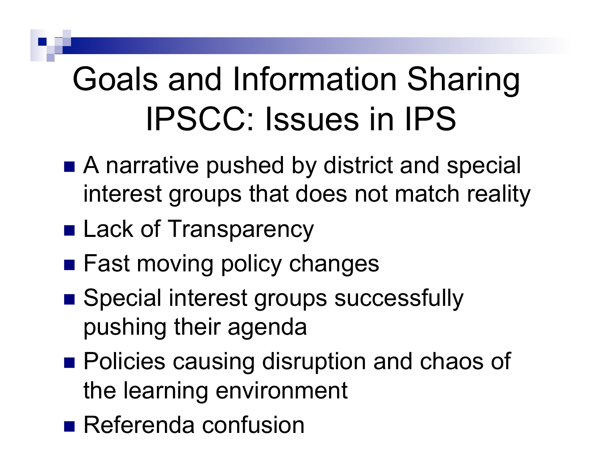# Goals and Information Sharing IPSCC: Issues in IPS

- A narrative pushed by district and special interest groups that does not match reality
- **E** Lack of Transparency
- **Example 1 Fast moving policy changes**
- **B** Special interest groups successfully pushing their agenda
- **Policies causing disruption and chaos of** the learning environment
- **Referenda confusion**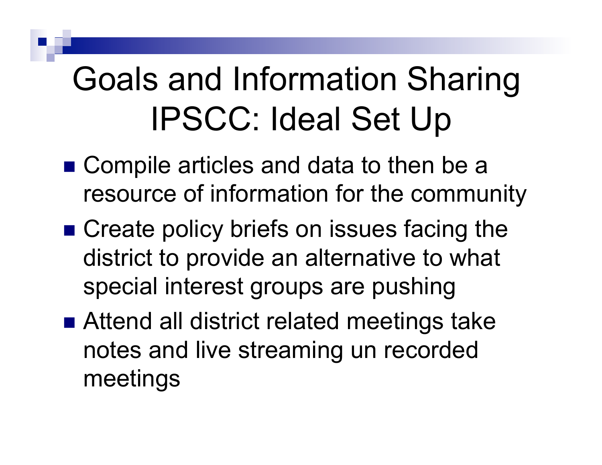# Goals and Information Sharing IPSCC: Ideal Set Up

- Compile articles and data to then be a resource of information for the community
- Create policy briefs on issues facing the district to provide an alternative to what special interest groups are pushing
- Attend all district related meetings take notes and live streaming un recorded meetings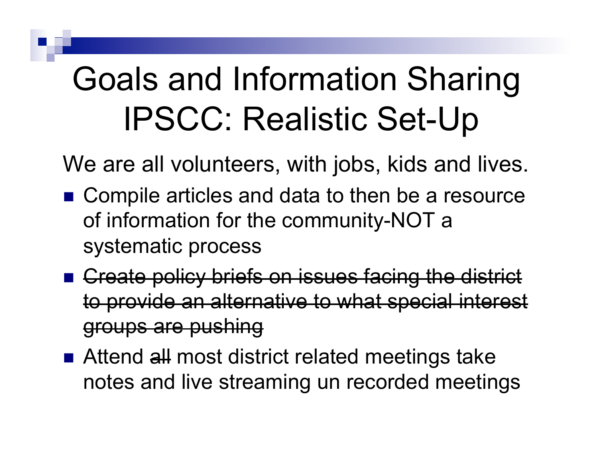## Goals and Information Sharing IPSCC: Realistic Set-Up

We are all volunteers, with jobs, kids and lives.

- Compile articles and data to then be a resource of information for the community-NOT a systematic process
- **Example 2** Create policy briefs on issues facing the district to provide an alternative to what special interest groups are pushing
- Attend all most district related meetings take notes and live streaming un recorded meetings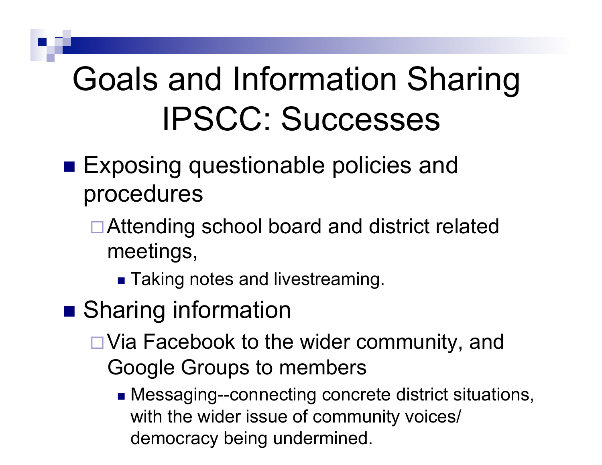- **Exposing questionable policies and** procedures
	- $\Box$  Attending school board and district related meetings,
		- **Taking notes and livestreaming.**
- **E** Sharing information
	- $\Box$  Via Facebook to the wider community, and Google Groups to members
		- **If** Messaging--connecting concrete district situations, with the wider issue of community voices/ democracy being undermined.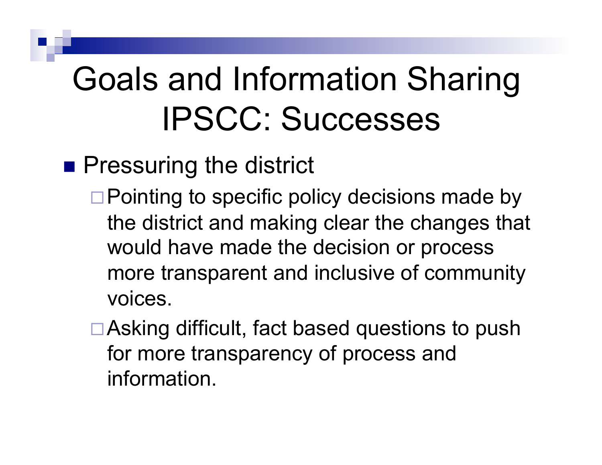**Pressuring the district** 

- $\Box$  Pointing to specific policy decisions made by the district and making clear the changes that would have made the decision or process more transparent and inclusive of community voices.
- $\Box$  Asking difficult, fact based questions to push for more transparency of process and information.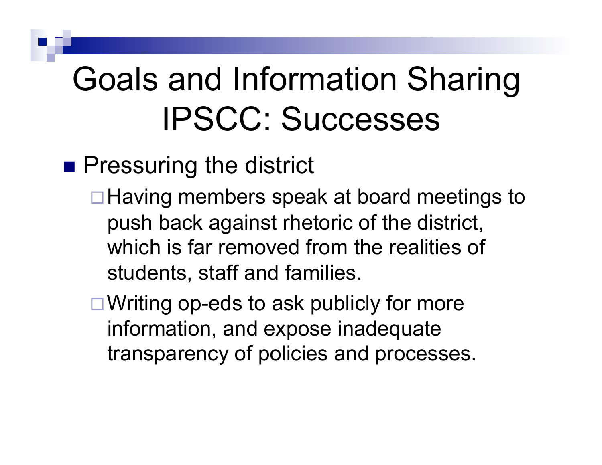**Pressuring the district** 

- $\Box$  Having members speak at board meetings to push back against rhetoric of the district, which is far removed from the realities of students, staff and families.
- $\Box$  Writing op-eds to ask publicly for more information, and expose inadequate transparency of policies and processes.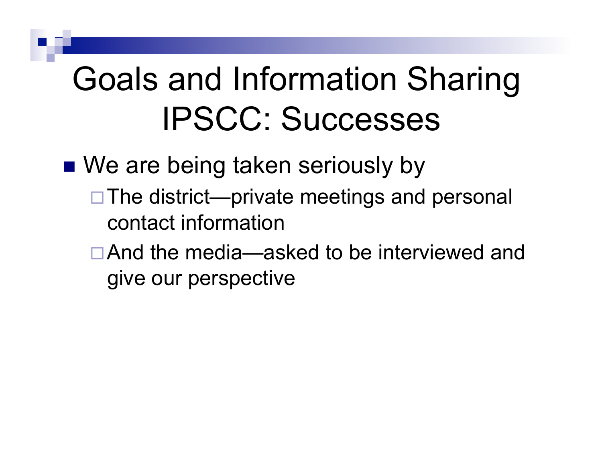■ We are being taken seriously by

- $\Box$  The district—private meetings and personal contact information
- $\Box$  And the media—asked to be interviewed and give our perspective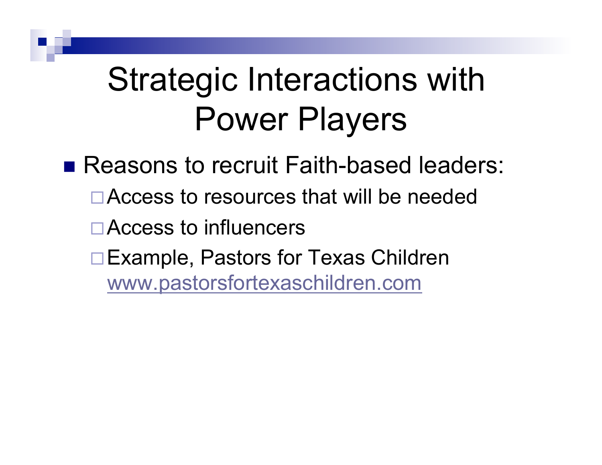■ Reasons to recruit Faith-based leaders:  $\Box$  Access to resources that will be needed  $\Box$  Access to influencers □ Example, Pastors for Texas Children www.pastorsfortexaschildren.com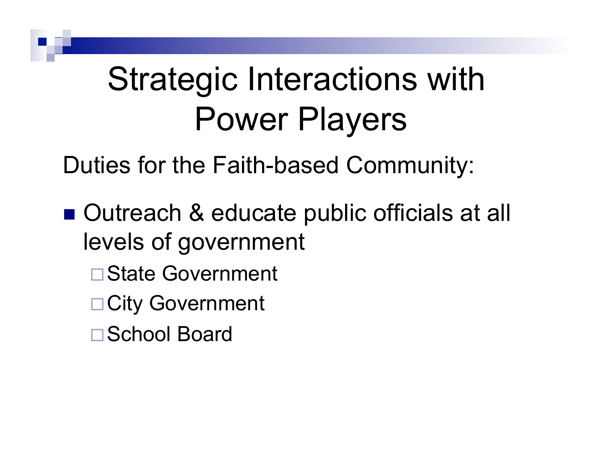Duties for the Faith-based Community:

- Outreach & educate public officials at all levels of government
	- **State Government**
	- □ City Government
	- □ School Board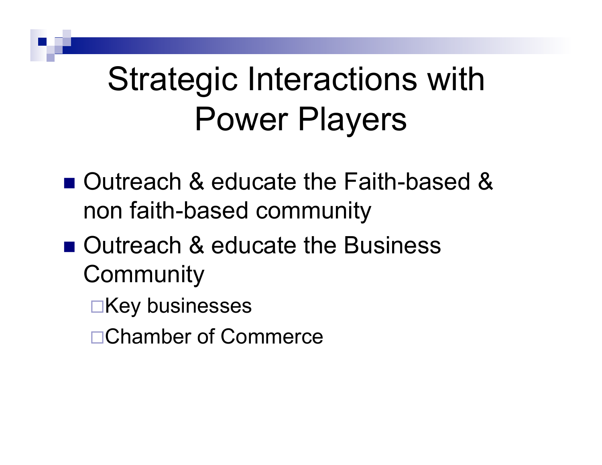- Outreach & educate the Faith-based & non faith-based community
- Outreach & educate the Business **Community** 
	- $\Box$ Key businesses
	- □ Chamber of Commerce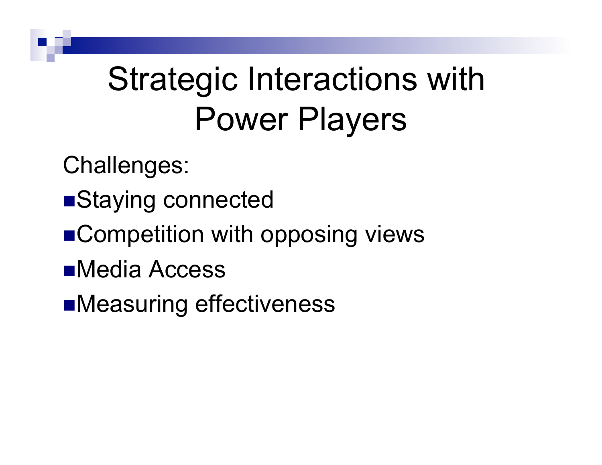Challenges:

- **E**Staying connected
- Competition with opposing views
- **EMedia Access**

**IMeasuring effectiveness**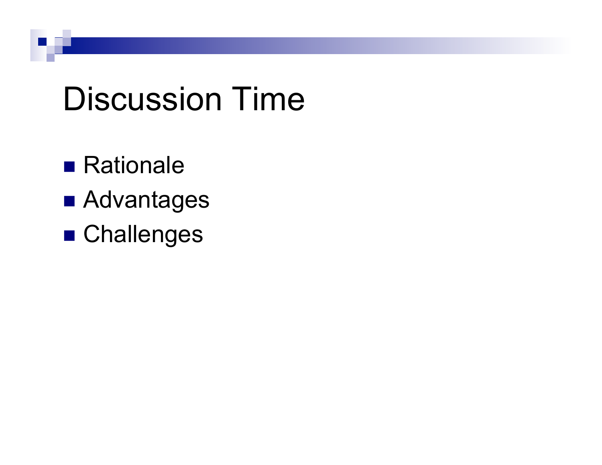#### Discussion Time

- **Rationale**
- **E** Advantages
- **E** Challenges